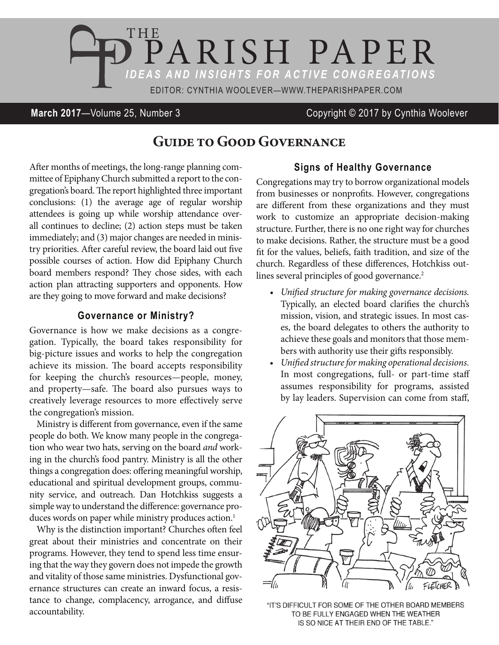

# **March 2017**—Volume 25, Number 3 Copyright © 2017 by Cynthia Woolever

# **Guide to Good Governance**

After months of meetings, the long-range planning committee of Epiphany Church submitted a report to the congregation's board. The report highlighted three important conclusions: (1) the average age of regular worship attendees is going up while worship attendance overall continues to decline; (2) action steps must be taken immediately; and (3) major changes are needed in ministry priorities. After careful review, the board laid out five possible courses of action. How did Epiphany Church board members respond? They chose sides, with each action plan attracting supporters and opponents. How are they going to move forward and make decisions?

### **Governance or Ministry?**

Governance is how we make decisions as a congregation. Typically, the board takes responsibility for big-picture issues and works to help the congregation achieve its mission. The board accepts responsibility for keeping the church's resources—people, money, and property—safe. The board also pursues ways to creatively leverage resources to more effectively serve the congregation's mission.

Ministry is different from governance, even if the same people do both. We know many people in the congregation who wear two hats, serving on the board *and* working in the church's food pantry. Ministry is all the other things a congregation does: offering meaningful worship, educational and spiritual development groups, community service, and outreach. Dan Hotchkiss suggests a simple way to understand the difference: governance produces words on paper while ministry produces action.<sup>1</sup>

Why is the distinction important? Churches often feel great about their ministries and concentrate on their programs. However, they tend to spend less time ensuring that the way they govern does not impede the growth and vitality of those same ministries. Dysfunctional governance structures can create an inward focus, a resistance to change, complacency, arrogance, and diffuse accountability.

# **Signs of Healthy Governance**

Congregations may try to borrow organizational models from businesses or nonprofits. However, congregations are different from these organizations and they must work to customize an appropriate decision-making structure. Further, there is no one right way for churches to make decisions. Rather, the structure must be a good fit for the values, beliefs, faith tradition, and size of the church. Regardless of these differences, Hotchkiss outlines several principles of good governance.<sup>2</sup>

- *• Unified structure for making governance decisions.* Typically, an elected board clarifies the church's mission, vision, and strategic issues. In most cases, the board delegates to others the authority to achieve these goals and monitors that those members with authority use their gifts responsibly.
- *• Unified structure formaking operational decisions.* In most congregations, full- or part-time staff assumes responsibility for programs, assisted by lay leaders. Supervision can come from staff,



"IT'S DIFFICULT FOR SOME OF THE OTHER BOARD MEMBERS TO BE FULLY ENGAGED WHEN THE WEATHER IS SO NICE AT THEIR END OF THE TABLE."